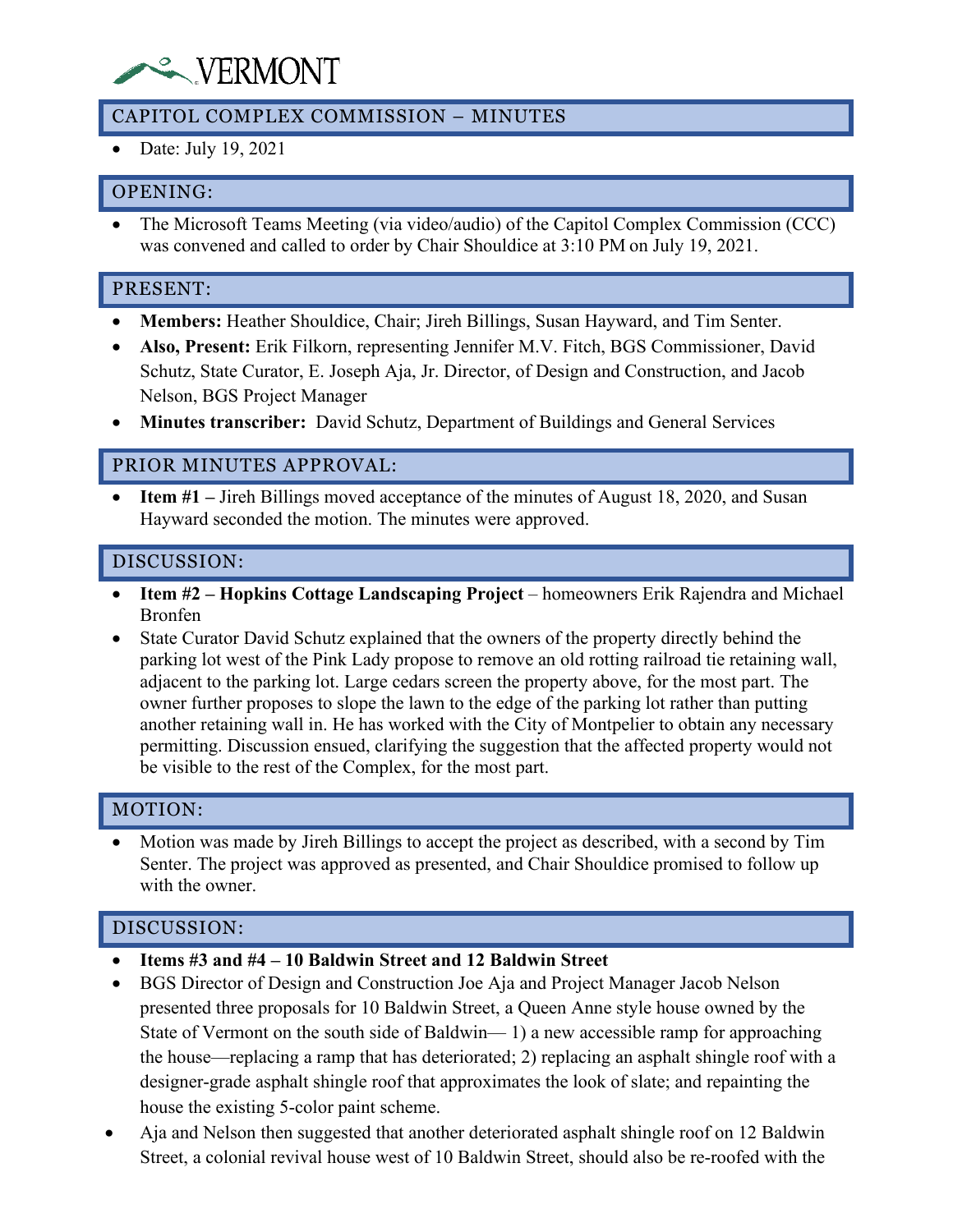# **WERMONT**

## CAPITOL COMPLEX COMMISSION – MINUTES

• Date: July 19, 2021

### OPENING:

• The Microsoft Teams Meeting (via video/audio) of the Capitol Complex Commission (CCC) was convened and called to order by Chair Shouldice at 3:10 PM on July 19, 2021.

#### PRESENT:

- **Members:** Heather Shouldice, Chair; Jireh Billings, Susan Hayward, and Tim Senter.
- **Also, Present:** Erik Filkorn, representing Jennifer M.V. Fitch, BGS Commissioner, David Schutz, State Curator, E. Joseph Aja, Jr. Director, of Design and Construction, and Jacob Nelson, BGS Project Manager
- **Minutes transcriber:** David Schutz, Department of Buildings and General Services

#### PRIOR MINUTES APPROVAL:

• **Item #1** – Jireh Billings moved acceptance of the minutes of August 18, 2020, and Susan Hayward seconded the motion. The minutes were approved.

#### DISCUSSION:

- **Item #2 – Hopkins Cottage Landscaping Project** homeowners Erik Rajendra and Michael Bronfen
- State Curator David Schutz explained that the owners of the property directly behind the parking lot west of the Pink Lady propose to remove an old rotting railroad tie retaining wall, adjacent to the parking lot. Large cedars screen the property above, for the most part. The owner further proposes to slope the lawn to the edge of the parking lot rather than putting another retaining wall in. He has worked with the City of Montpelier to obtain any necessary permitting. Discussion ensued, clarifying the suggestion that the affected property would not be visible to the rest of the Complex, for the most part.

#### MOTION:

• Motion was made by Jireh Billings to accept the project as described, with a second by Tim Senter. The project was approved as presented, and Chair Shouldice promised to follow up with the owner.

#### DISCUSSION:

- **Items #3 and #4 – 10 Baldwin Street and 12 Baldwin Street**
- BGS Director of Design and Construction Joe Aja and Project Manager Jacob Nelson presented three proposals for 10 Baldwin Street, a Queen Anne style house owned by the State of Vermont on the south side of Baldwin— 1) a new accessible ramp for approaching the house—replacing a ramp that has deteriorated; 2) replacing an asphalt shingle roof with a designer-grade asphalt shingle roof that approximates the look of slate; and repainting the house the existing 5-color paint scheme.
- Aja and Nelson then suggested that another deteriorated asphalt shingle roof on 12 Baldwin Street, a colonial revival house west of 10 Baldwin Street, should also be re-roofed with the